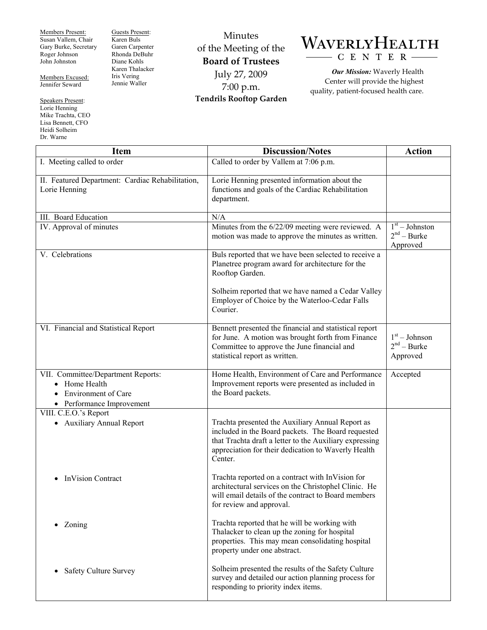Members Present: Susan Vallem, Chair Gary Burke, Secretary Roger Johnson John Johnston

Members Excused: Jennifer Seward

Speakers Present: Lorie Henning Mike Trachta, CEO Lisa Bennett, CFO Heidi Solheim Dr. Warne

Guests Present: Karen Buls Garen Carpenter Rhonda DeBuhr Diane Kohls Karen Thalacker Iris Vering Jennie Waller

Minutes of the Meeting of the **Board of Trustees**  July 27, 2009 7:00 p.m. **Tendrils Rooftop Garden** 



*Our Mission:* Waverly Health Center will provide the highest quality, patient-focused health care.

| <b>Item</b>                                                                                                                 | <b>Discussion/Notes</b>                                                                                                                                                                                                             | <b>Action</b>                                 |
|-----------------------------------------------------------------------------------------------------------------------------|-------------------------------------------------------------------------------------------------------------------------------------------------------------------------------------------------------------------------------------|-----------------------------------------------|
| I. Meeting called to order                                                                                                  | Called to order by Vallem at 7:06 p.m.                                                                                                                                                                                              |                                               |
| II. Featured Department: Cardiac Rehabilitation,<br>Lorie Henning                                                           | Lorie Henning presented information about the<br>functions and goals of the Cardiac Rehabilitation<br>department.                                                                                                                   |                                               |
| III. Board Education                                                                                                        | N/A                                                                                                                                                                                                                                 |                                               |
| IV. Approval of minutes                                                                                                     | Minutes from the 6/22/09 meeting were reviewed. A<br>motion was made to approve the minutes as written.                                                                                                                             | $1st - Johnston$<br>$2nd - Burke$<br>Approved |
| V. Celebrations                                                                                                             | Buls reported that we have been selected to receive a<br>Planetree program award for architecture for the<br>Rooftop Garden.                                                                                                        |                                               |
|                                                                                                                             | Solheim reported that we have named a Cedar Valley<br>Employer of Choice by the Waterloo-Cedar Falls<br>Courier.                                                                                                                    |                                               |
| VI. Financial and Statistical Report                                                                                        | Bennett presented the financial and statistical report<br>for June. A motion was brought forth from Finance<br>Committee to approve the June financial and<br>statistical report as written.                                        | $1st - Johnson$<br>$2nd - Burke$<br>Approved  |
| VII. Committee/Department Reports:<br>• Home Health<br><b>Environment of Care</b><br>$\bullet$<br>• Performance Improvement | Home Health, Environment of Care and Performance<br>Improvement reports were presented as included in<br>the Board packets.                                                                                                         | Accepted                                      |
| VIII. C.E.O.'s Report<br>• Auxiliary Annual Report                                                                          | Trachta presented the Auxiliary Annual Report as<br>included in the Board packets. The Board requested<br>that Trachta draft a letter to the Auxiliary expressing<br>appreciation for their dedication to Waverly Health<br>Center. |                                               |
| <b>InVision Contract</b>                                                                                                    | Trachta reported on a contract with InVision for<br>architectural services on the Christophel Clinic. He<br>will email details of the contract to Board members<br>for review and approval.                                         |                                               |
| Zoning                                                                                                                      | Trachta reported that he will be working with<br>Thalacker to clean up the zoning for hospital<br>properties. This may mean consolidating hospital<br>property under one abstract.                                                  |                                               |
| <b>Safety Culture Survey</b>                                                                                                | Solheim presented the results of the Safety Culture<br>survey and detailed our action planning process for<br>responding to priority index items.                                                                                   |                                               |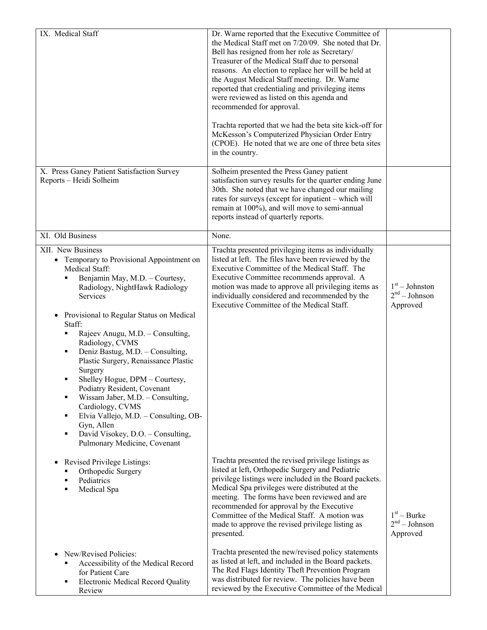| IX. Medical Staff                                                                                                                                                                                                                                                                                                                                                                                                                                                                                                                                                                                                                                  | Dr. Warne reported that the Executive Committee of<br>the Medical Staff met on 7/20/09. She noted that Dr.<br>Bell has resigned from her role as Secretary/<br>Treasurer of the Medical Staff due to personal<br>reasons. An election to replace her will be held at<br>the August Medical Staff meeting. Dr. Warne<br>reported that credentialing and privileging items<br>were reviewed as listed on this agenda and<br>recommended for approval.<br>Trachta reported that we had the beta site kick-off for<br>McKesson's Computerized Physician Order Entry<br>(CPOE). He noted that we are one of three beta sites<br>in the country. |                                                 |
|----------------------------------------------------------------------------------------------------------------------------------------------------------------------------------------------------------------------------------------------------------------------------------------------------------------------------------------------------------------------------------------------------------------------------------------------------------------------------------------------------------------------------------------------------------------------------------------------------------------------------------------------------|--------------------------------------------------------------------------------------------------------------------------------------------------------------------------------------------------------------------------------------------------------------------------------------------------------------------------------------------------------------------------------------------------------------------------------------------------------------------------------------------------------------------------------------------------------------------------------------------------------------------------------------------|-------------------------------------------------|
| X. Press Ganey Patient Satisfaction Survey<br>Reports - Heidi Solheim                                                                                                                                                                                                                                                                                                                                                                                                                                                                                                                                                                              | Solheim presented the Press Ganey patient<br>satisfaction survey results for the quarter ending June<br>30th. She noted that we have changed our mailing<br>rates for surveys (except for inpatient – which will<br>remain at 100%), and will move to semi-annual<br>reports instead of quarterly reports.                                                                                                                                                                                                                                                                                                                                 |                                                 |
| XI. Old Business                                                                                                                                                                                                                                                                                                                                                                                                                                                                                                                                                                                                                                   | None.                                                                                                                                                                                                                                                                                                                                                                                                                                                                                                                                                                                                                                      |                                                 |
| XII. New Business<br>• Temporary to Provisional Appointment on<br>Medical Staff:<br>Benjamin May, M.D. - Courtesy,<br>Radiology, NightHawk Radiology<br>Services<br>Provisional to Regular Status on Medical<br>Staff:<br>Rajeev Anugu, M.D. - Consulting,<br>Radiology, CVMS<br>Deniz Bastug, M.D. - Consulting,<br>٠<br>Plastic Surgery, Renaissance Plastic<br>Surgery<br>Shelley Hogue, DPM - Courtesy,<br>п<br>Podiatry Resident, Covenant<br>Wissam Jaber, M.D. - Consulting,<br>Е<br>Cardiology, CVMS<br>Elvia Vallejo, M.D. - Consulting, OB-<br>٠<br>Gyn, Allen<br>David Visokey, D.O. - Consulting,<br>٠<br>Pulmonary Medicine, Covenant | Trachta presented privileging items as individually<br>listed at left. The files have been reviewed by the<br>Executive Committee of the Medical Staff. The<br>Executive Committee recommends approval. A<br>motion was made to approve all privileging items as<br>individually considered and recommended by the<br>Executive Committee of the Medical Staff.                                                                                                                                                                                                                                                                            | $1st - Johnston$<br>$2nd - Johnson$<br>Approved |
| Revised Privilege Listings:<br>٠<br>Orthopedic Surgery<br>Pediatrics<br>п<br>Medical Spa<br>٠<br>New/Revised Policies:                                                                                                                                                                                                                                                                                                                                                                                                                                                                                                                             | Trachta presented the revised privilege listings as<br>listed at left, Orthopedic Surgery and Pediatric<br>privilege listings were included in the Board packets.<br>Medical Spa privileges were distributed at the<br>meeting. The forms have been reviewed and are<br>recommended for approval by the Executive<br>Committee of the Medical Staff. A motion was<br>made to approve the revised privilege listing as<br>presented.<br>Trachta presented the new/revised policy statements                                                                                                                                                 | $1st - Burke$<br>$2nd - Johnson$<br>Approved    |
| Accessibility of the Medical Record<br>٠<br>for Patient Care<br>Electronic Medical Record Quality<br>٠<br>Review                                                                                                                                                                                                                                                                                                                                                                                                                                                                                                                                   | as listed at left, and included in the Board packets.<br>The Red Flags Identity Theft Prevention Program<br>was distributed for review. The policies have been<br>reviewed by the Executive Committee of the Medical                                                                                                                                                                                                                                                                                                                                                                                                                       |                                                 |